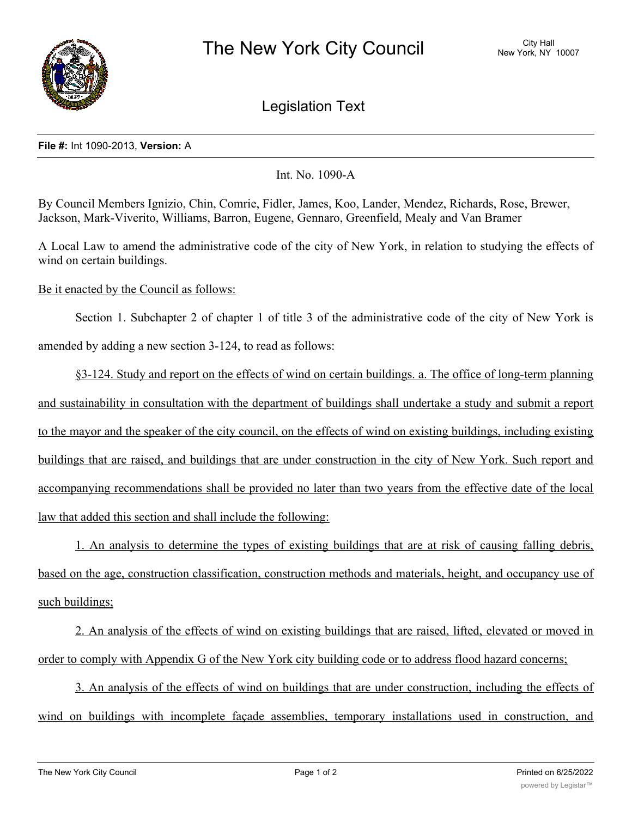

Legislation Text

## **File #:** Int 1090-2013, **Version:** A

Int. No. 1090-A

By Council Members Ignizio, Chin, Comrie, Fidler, James, Koo, Lander, Mendez, Richards, Rose, Brewer, Jackson, Mark-Viverito, Williams, Barron, Eugene, Gennaro, Greenfield, Mealy and Van Bramer

A Local Law to amend the administrative code of the city of New York, in relation to studying the effects of wind on certain buildings.

Be it enacted by the Council as follows:

Section 1. Subchapter 2 of chapter 1 of title 3 of the administrative code of the city of New York is amended by adding a new section 3-124, to read as follows:

§3-124. Study and report on the effects of wind on certain buildings. a. The office of long-term planning and sustainability in consultation with the department of buildings shall undertake a study and submit a report to the mayor and the speaker of the city council, on the effects of wind on existing buildings, including existing buildings that are raised, and buildings that are under construction in the city of New York. Such report and accompanying recommendations shall be provided no later than two years from the effective date of the local law that added this section and shall include the following:

1. An analysis to determine the types of existing buildings that are at risk of causing falling debris, based on the age, construction classification, construction methods and materials, height, and occupancy use of such buildings;

2. An analysis of the effects of wind on existing buildings that are raised, lifted, elevated or moved in order to comply with Appendix G of the New York city building code or to address flood hazard concerns;

3. An analysis of the effects of wind on buildings that are under construction, including the effects of wind on buildings with incomplete façade assemblies, temporary installations used in construction, and